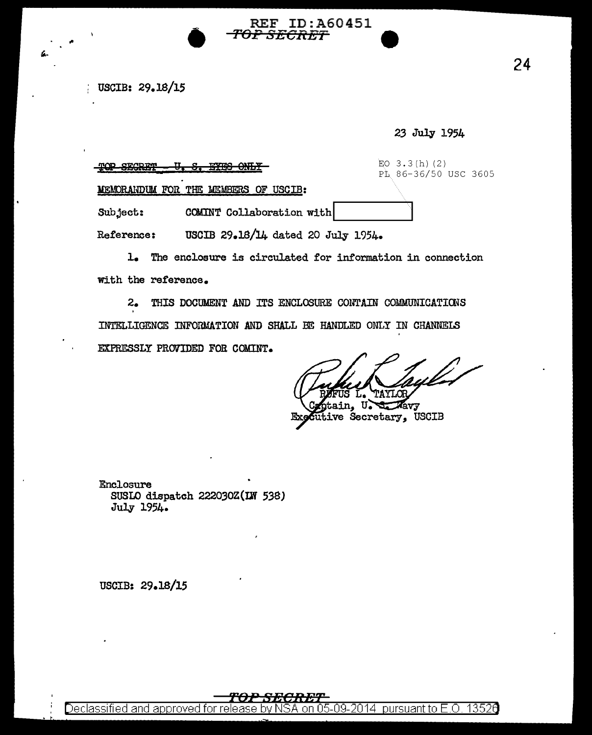; USCIB: 29.18/15

• •

23 July 1954

| <b>TOD CROPER</b><br><b>TAN AMANAT</b> | <b>WIND AIT T</b><br><u>at de mima cuni</u> | $EO$ 3.3(h)(2)<br>PL 86-36/50 USC 3605 |
|----------------------------------------|---------------------------------------------|----------------------------------------|
|                                        | MEMORANDUM FOR THE MEMBERS OF USCIB:        |                                        |
| Subject:                               | COMINT Collaboration with                   |                                        |
| <b>Reference:</b>                      | USCIB 29.18/14 dated 20 July 1954.          |                                        |

REF ID:A60451<br>TOPSECRET

1. The enclosure is circulated for information in connection With the reference.

2. THIS DOCUMENT AND ITS ENCLOSURE CONTAIN COMMUNICATIONS INTELLIGENCE INFORMATION AND SHALL EE HANDLED ONLY IN CHANNELS EXPRESSLY PROVIDED FOR COMINT.

**Stary**  $\mathbf{u}$ . in. cutive Secretary, USCIB

Enclosure SUSLO dispatch 222030Z{llf *538)*  July 1954.

USCIB: 29.18/15

Declassified and approved for rele 09-2014 pursuant to E.O. 13526